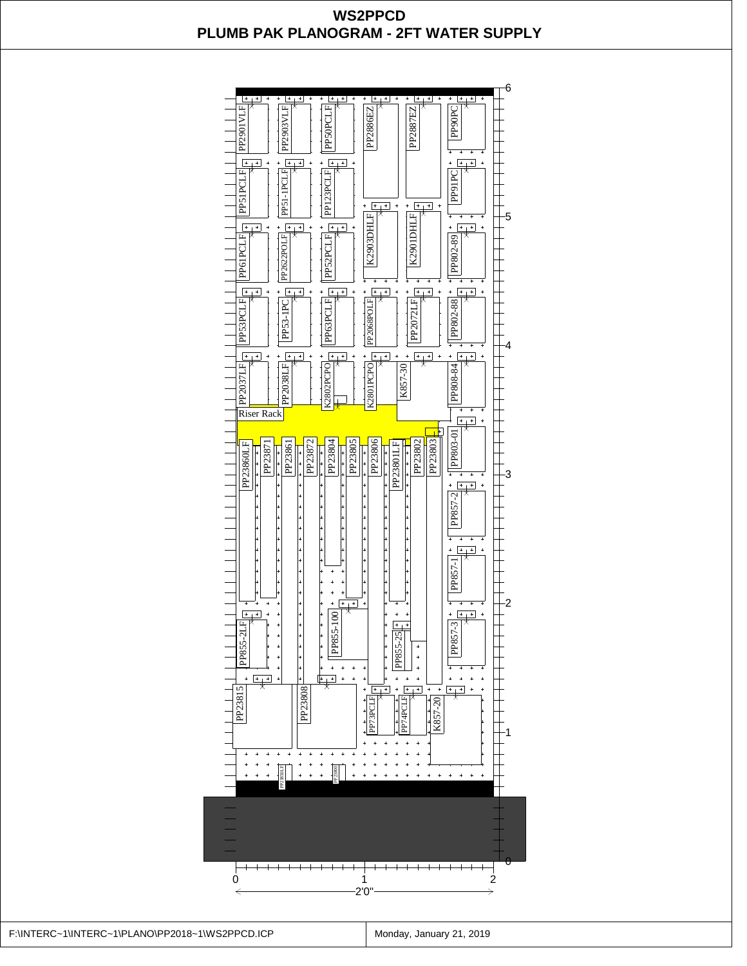